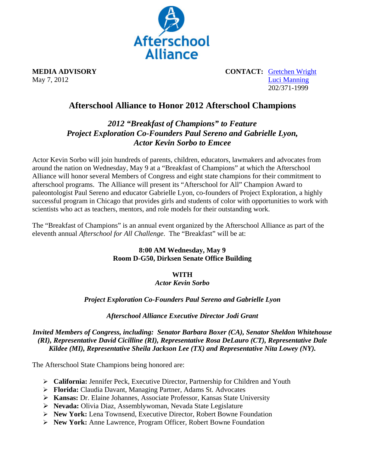

**MEDIA ADVISORY** CONTACT: Gretchen Wright May 7, 2012 Luci Manning 202/371-1999

# **Afterschool Alliance to Honor 2012 Afterschool Champions**

## *2012 "Breakfast of Champions" to Feature Project Exploration Co-Founders Paul Sereno and Gabrielle Lyon, Actor Kevin Sorbo to Emcee*

Actor Kevin Sorbo will join hundreds of parents, children, educators, lawmakers and advocates from around the nation on Wednesday, May 9 at a "Breakfast of Champions" at which the Afterschool Alliance will honor several Members of Congress and eight state champions for their commitment to afterschool programs. The Alliance will present its "Afterschool for All" Champion Award to paleontologist Paul Sereno and educator Gabrielle Lyon, co-founders of Project Exploration, a highly successful program in Chicago that provides girls and students of color with opportunities to work with scientists who act as teachers, mentors, and role models for their outstanding work.

The "Breakfast of Champions" is an annual event organized by the Afterschool Alliance as part of the eleventh annual *Afterschool for All Challenge*. The "Breakfast" will be at:

#### **8:00 AM Wednesday, May 9 Room D-G50, Dirksen Senate Office Building**

## **WITH**

#### *Actor Kevin Sorbo*

## *Project Exploration Co-Founders Paul Sereno and Gabrielle Lyon*

## *Afterschool Alliance Executive Director Jodi Grant*

#### *Invited Members of Congress, including: Senator Barbara Boxer (CA), Senator Sheldon Whitehouse (RI), Representative David Cicilline (RI), Representative Rosa DeLauro (CT), Representative Dale Kildee (MI), Representative Sheila Jackson Lee (TX) and Representative Nita Lowey (NY).*

The Afterschool State Champions being honored are:

- **California:** Jennifer Peck, Executive Director, Partnership for Children and Youth
- **Florida:** Claudia Davant, Managing Partner, Adams St. Advocates
- **Kansas:** Dr. Elaine Johannes, Associate Professor, Kansas State University
- **Nevada:** Olivia Diaz, Assemblywoman, Nevada State Legislature
- **New York:** Lena Townsend, Executive Director, Robert Bowne Foundation
- **New York:** Anne Lawrence, Program Officer, Robert Bowne Foundation